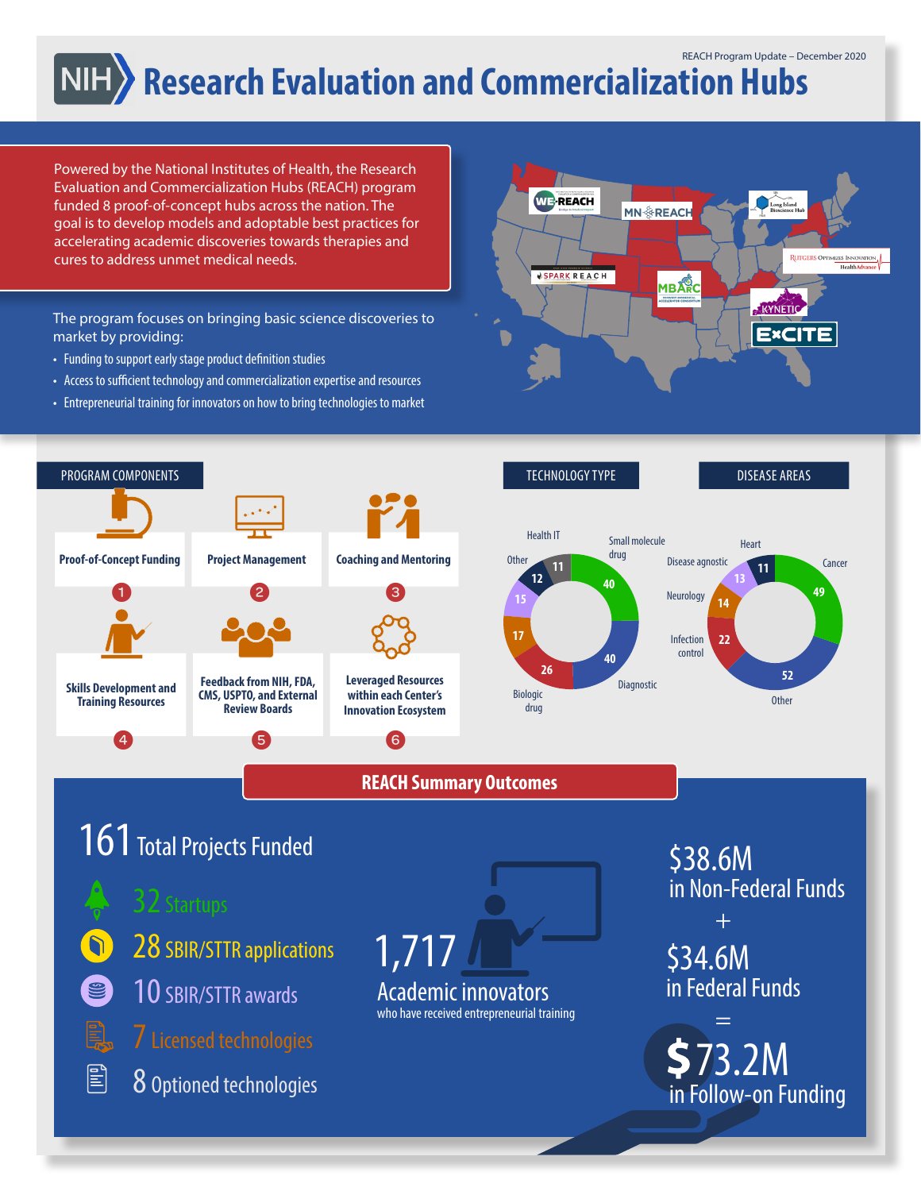## **Research Evaluation and Commercialization Hubs**

Powered by the National Institutes of Health, the Research Evaluation and Commercialization Hubs (REACH) program funded 8 proof-of-concept hubs across the nation. The goal is to develop models and adoptable best practices for accelerating academic discoveries towards therapies and cures to address unmet medical needs.

The program focuses on bringing basic science discoveries to market by providing:

- Funding to support early stage product definition studies
- Access to sufficient technology and commercialization expertise and resources
- Entrepreneurial training for innovators on how to bring technologies to market